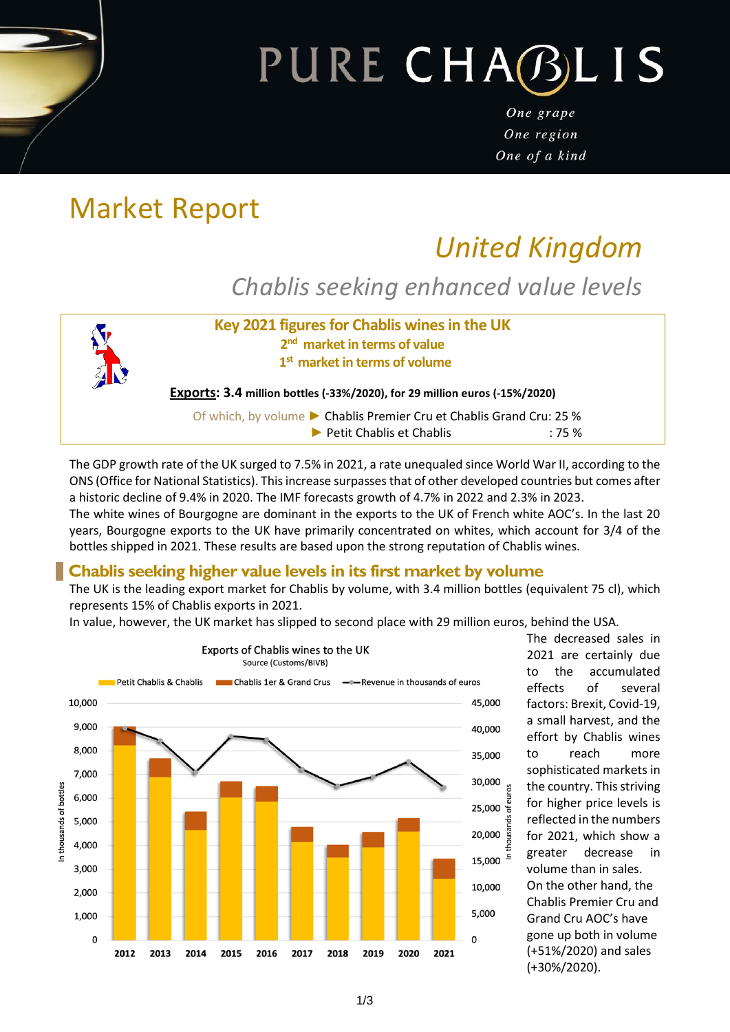# PURE CHABLIS

One grape One region One of a kind

# Market Report

# *United Kingdom*

*Chablis seeking enhanced value levels*



The GDP growth rate of the UK surged to 7.5% in 2021, a rate unequaled since World War II, according to the ONS (Office for National Statistics). This increase surpasses that of other developed countries but comes after a historic decline of 9.4% in 2020. The IMF forecasts growth of 4.7% in 2022 and 2.3% in 2023.

The white wines of Bourgogne are dominant in the exports to the UK of French white AOC's. In the last 20 years, Bourgogne exports to the UK have primarily concentrated on whites, which account for 3/4 of the bottles shipped in 2021. These results are based upon the strong reputation of Chablis wines.

## **Chablis seeking higher value levels in its first market by volume**

The UK is the leading export market for Chablis by volume, with 3.4 million bottles (equivalent 75 cl), which represents 15% of Chablis exports in 2021.

In value, however, the UK market has slipped to second place with 29 million euros, behind the USA.



The decreased sales in 2021 are certainly due to the accumulated effects of several factors: Brexit, Covid-19, a small harvest, and the effort by Chablis wines to reach more sophisticated markets in the country. This striving for higher price levels is reflected in the numbers for 2021, which show a greater decrease in volume than in sales. On the other hand, the Chablis Premier Cru and Grand Cru AOC's have gone up both in volume (+51%/2020) and sales (+30%/2020).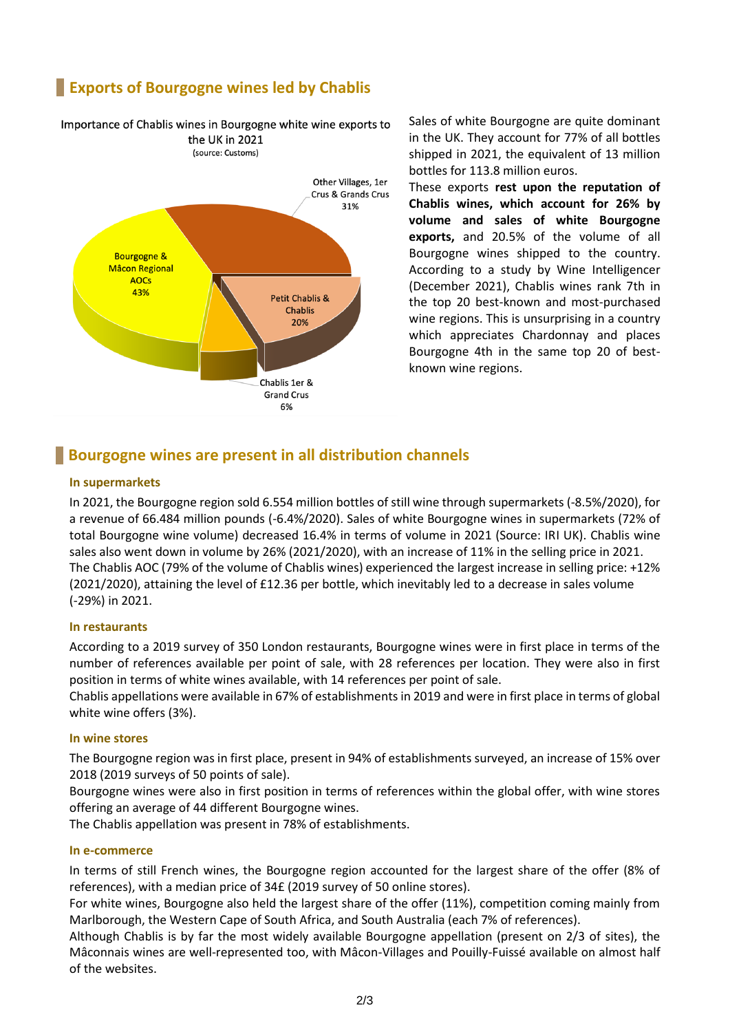# **Exports of Bourgogne wines led by Chablis**

Importance of Chablis wines in Bourgogne white wine exports to

### the UK in 2021 (source: Customs) Other Villages, 1er Crus & Grands Crus 31% **Bourgogne & Mâcon Regional AOCS** 43% **Petit Chablis & Chablis**  $20%$ Chablis 1er & **Grand Crus** 6%

Sales of white Bourgogne are quite dominant in the UK. They account for 77% of all bottles shipped in 2021, the equivalent of 13 million bottles for 113.8 million euros.

These exports **rest upon the reputation of Chablis wines, which account for 26% by volume and sales of white Bourgogne exports,** and 20.5% of the volume of all Bourgogne wines shipped to the country. According to a study by Wine Intelligencer (December 2021), Chablis wines rank 7th in the top 20 best-known and most-purchased wine regions. This is unsurprising in a country which appreciates Chardonnay and places Bourgogne 4th in the same top 20 of bestknown wine regions.

## **Bourgogne wines are present in all distribution channels**

#### **In supermarkets**

In 2021, the Bourgogne region sold 6.554 million bottles of still wine through supermarkets (-8.5%/2020), for a revenue of 66.484 million pounds (-6.4%/2020). Sales of white Bourgogne wines in supermarkets (72% of total Bourgogne wine volume) decreased 16.4% in terms of volume in 2021 (Source: IRI UK). Chablis wine sales also went down in volume by 26% (2021/2020), with an increase of 11% in the selling price in 2021. The Chablis AOC (79% of the volume of Chablis wines) experienced the largest increase in selling price: +12% (2021/2020), attaining the level of £12.36 per bottle, which inevitably led to a decrease in sales volume (-29%) in 2021.

#### **In restaurants**

According to a 2019 survey of 350 London restaurants, Bourgogne wines were in first place in terms of the number of references available per point of sale, with 28 references per location. They were also in first position in terms of white wines available, with 14 references per point of sale.

Chablis appellations were available in 67% of establishments in 2019 and were in first place in terms of global white wine offers (3%).

#### **In wine stores**

The Bourgogne region was in first place, present in 94% of establishments surveyed, an increase of 15% over 2018 (2019 surveys of 50 points of sale).

Bourgogne wines were also in first position in terms of references within the global offer, with wine stores offering an average of 44 different Bourgogne wines.

The Chablis appellation was present in 78% of establishments.

#### **In e-commerce**

In terms of still French wines, the Bourgogne region accounted for the largest share of the offer (8% of references), with a median price of 34£ (2019 survey of 50 online stores).

For white wines, Bourgogne also held the largest share of the offer (11%), competition coming mainly from Marlborough, the Western Cape of South Africa, and South Australia (each 7% of references).

Although Chablis is by far the most widely available Bourgogne appellation (present on 2/3 of sites), the Mâconnais wines are well-represented too, with Mâcon-Villages and Pouilly-Fuissé available on almost half of the websites.